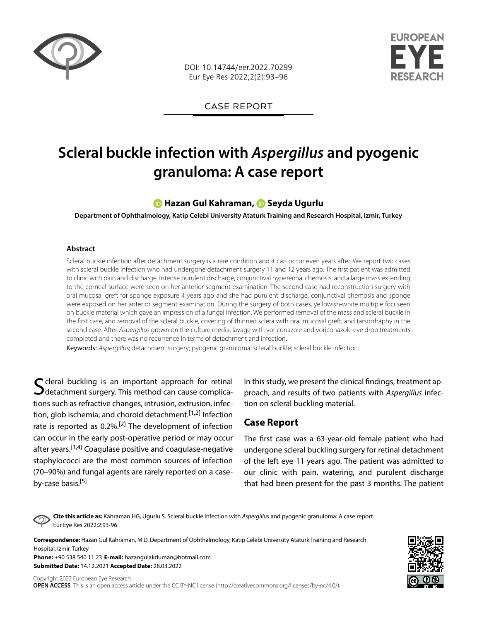

DOI: 10.14744/eer.2022.70299 Eur Eye Res 2022;2(2):93–96

FUROPFAN

CASE REPORT

# **Scleral buckle infection with** *Aspergillus* **and pyogenic granuloma: A case report**

### **[H](https://orcid.org/0000-0003-0865-1580)azan Gul Kahraman,Seyda Ugurlu**

**Department of Ophthalmology, Katip Celebi University Ataturk Training and Research Hospital, Izmir, Turkey**

#### **Abstract**

Scleral buckle infection after detachment surgery is a rare condition and it can occur even years after. We report two cases with scleral buckle infection who had undergone detachment surgery 11 and 12 years ago. The first patient was admitted to clinic with pain and discharge. Intense purulent discharge, conjunctival hyperemia, chemosis, and a large mass extending to the corneal surface were seen on her anterior segment examination. The second case had reconstruction surgery with oral mucosal greft for sponge exposure 4 years ago and she had purulent discharge, conjunctival chemosis and sponge were exposed on her anterior segment examination. During the surgery of both cases, yellowish-white multiple foci seen on buckle material which gave an impression of a fungal infection. We performed removal of the mass and scleral buckle in the first case, and removal of the scleral buckle, covering of thinned sclera with oral mucosal greft, and tarsorrhaphy in the second case. After Aspergillus grown on the culture media, lavage with voriconazole and voriconazole eye drop treatments completed and there was no recurrence in terms of detachment and infection.

Keywords: Aspergillus; detachment surgery; pyogenic granuloma; scleral buckle; scleral buckle infection.

 $\Gamma$  cleral buckling is an important approach for retinal  $\bigcup$  detachment surgery. This method can cause complications such as refractive changes, intrusion, extrusion, infection, glob ischemia, and choroid detachment.<sup>[1,2]</sup> Infection rate is reported as 0.2%.<sup>[2]</sup> The development of infection can occur in the early post-operative period or may occur after years.<sup>[3,4]</sup> Coagulase positive and coagulase-negative staphylococci are the most common sources of infection (70–90%) and fungal agents are rarely reported on a caseby-case basis.<sup>[5]</sup>

In this study, we present the clinical findings, treatment approach, and results of two patients with *Aspergillus* infection on scleral buckling material.

## **Case Report**

The first case was a 63-year-old female patient who had undergone scleral buckling surgery for retinal detachment of the left eye 11 years ago. The patient was admitted to our clinic with pain, watering, and purulent discharge that had been present for the past 3 months. The patient

**Cite this article as:** Kahraman HG, Ugurlu S. Scleral buckle infection with *Aspergillus* and pyogenic granuloma: A case report. Eur Eye Res 2022;2:93-96.

**Correspondence:** Hazan Gul Kahraman, M.D. Department of Ophthalmology, Katip Celebi University Ataturk Training and Research Hospital, Izmir, Turkey

**Phone:** +90 538 540 11 23 **E-mail:** hazangulakduman@hotmail.com **Submitted Date:** 14.12.2021 **Accepted Date:** 28.03.2022

Copyright 2022 European Eye Research **OPEN ACCESS** This is an open access article under the CC BY-NC license (http://creativecommons.org/licenses/by-nc/4.0/).

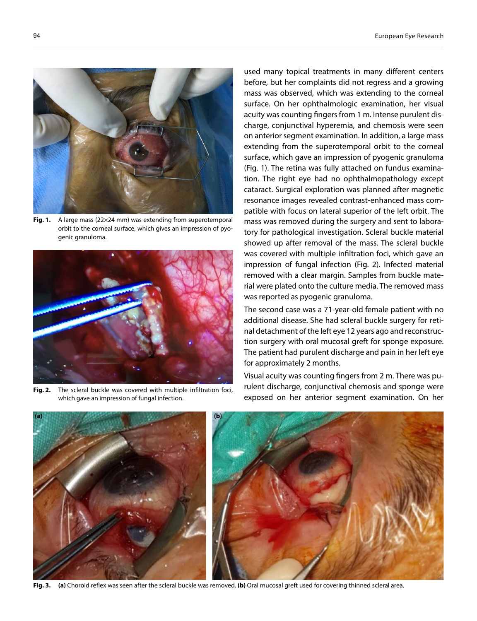

Fig. 1. A large mass (22×24 mm) was extending from superotemporal orbit to the corneal surface, which gives an impression of pyogenic granuloma.



**Fig. 2.** The scleral buckle was covered with multiple infiltration foci, which gave an impression of fungal infection.

used many topical treatments in many different centers before, but her complaints did not regress and a growing mass was observed, which was extending to the corneal surface. On her ophthalmologic examination, her visual acuity was counting fingers from 1 m. Intense purulent discharge, conjunctival hyperemia, and chemosis were seen on anterior segment examination. In addition, a large mass extending from the superotemporal orbit to the corneal surface, which gave an impression of pyogenic granuloma (Fig. 1). The retina was fully attached on fundus examination. The right eye had no ophthalmopathology except cataract. Surgical exploration was planned after magnetic resonance images revealed contrast-enhanced mass compatible with focus on lateral superior of the left orbit. The mass was removed during the surgery and sent to laboratory for pathological investigation. Scleral buckle material showed up after removal of the mass. The scleral buckle was covered with multiple infiltration foci, which gave an impression of fungal infection (Fig. 2). Infected material removed with a clear margin. Samples from buckle material were plated onto the culture media. The removed mass was reported as pyogenic granuloma.

The second case was a 71-year-old female patient with no additional disease. She had scleral buckle surgery for retinal detachment of the left eye 12 years ago and reconstruction surgery with oral mucosal greft for sponge exposure. The patient had purulent discharge and pain in her left eye for approximately 2 months.

Visual acuity was counting fingers from 2 m. There was purulent discharge, conjunctival chemosis and sponge were exposed on her anterior segment examination. On her



**Fig. 3. (a)** Choroid reflex was seen after the scleral buckle was removed. **(b)** Oral mucosal greft used for covering thinned scleral area.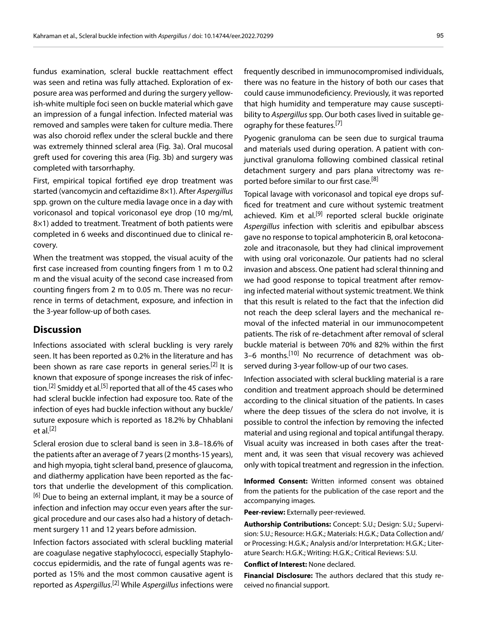fundus examination, scleral buckle reattachment effect was seen and retina was fully attached. Exploration of exposure area was performed and during the surgery yellowish-white multiple foci seen on buckle material which gave an impression of a fungal infection. Infected material was removed and samples were taken for culture media. There was also choroid reflex under the scleral buckle and there was extremely thinned scleral area (Fig. 3a). Oral mucosal greft used for covering this area (Fig. 3b) and surgery was completed with tarsorrhaphy.

First, empirical topical fortified eye drop treatment was started (vancomycin and ceftazidime 8×1). After *Aspergillus* spp. grown on the culture media lavage once in a day with voriconasol and topical voriconasol eye drop (10 mg/ml, 8×1) added to treatment. Treatment of both patients were completed in 6 weeks and discontinued due to clinical recovery.

When the treatment was stopped, the visual acuity of the first case increased from counting fingers from 1 m to 0.2 m and the visual acuity of the second case increased from counting fingers from 2 m to 0.05 m. There was no recurrence in terms of detachment, exposure, and infection in the 3-year follow-up of both cases.

#### **Discussion**

Infections associated with scleral buckling is very rarely seen. It has been reported as 0.2% in the literature and has been shown as rare case reports in general series.<sup>[2]</sup> It is known that exposure of sponge increases the risk of infection.<sup>[2]</sup> Smiddy et al.<sup>[5]</sup> reported that all of the 45 cases who had scleral buckle infection had exposure too. Rate of the infection of eyes had buckle infection without any buckle/ suture exposure which is reported as 18.2% by Chhablani et al. $[2]$ 

Scleral erosion due to scleral band is seen in 3.8–18.6% of the patients after an average of 7 years (2 months-15 years), and high myopia, tight scleral band, presence of glaucoma, and diathermy application have been reported as the factors that underlie the development of this complication. <sup>[6]</sup> Due to being an external implant, it may be a source of infection and infection may occur even years after the surgical procedure and our cases also had a history of detachment surgery 11 and 12 years before admission.

Infection factors associated with scleral buckling material are coagulase negative staphylococci, especially Staphylococcus epidermidis, and the rate of fungal agents was reported as 15% and the most common causative agent is reported as *Aspergillus*. [2] While *Aspergillus* infections were frequently described in immunocompromised individuals, there was no feature in the history of both our cases that could cause immunodeficiency. Previously, it was reported that high humidity and temperature may cause susceptibility to *Aspergillus* spp. Our both cases lived in suitable geography for these features.<sup>[7]</sup>

Pyogenic granuloma can be seen due to surgical trauma and materials used during operation. A patient with conjunctival granuloma following combined classical retinal detachment surgery and pars plana vitrectomy was reported before similar to our first case.<sup>[8]</sup>

Topical lavage with voriconasol and topical eye drops sufficed for treatment and cure without systemic treatment achieved. Kim et al.<sup>[9]</sup> reported scleral buckle originate *Aspergillus* infection with scleritis and epibulbar abscess gave no response to topical amphotericin B, oral ketoconazole and itraconasole, but they had clinical improvement with using oral voriconazole. Our patients had no scleral invasion and abscess. One patient had scleral thinning and we had good response to topical treatment after removing infected material without systemic treatment. We think that this result is related to the fact that the infection did not reach the deep scleral layers and the mechanical removal of the infected material in our immunocompetent patients. The risk of re-detachment after removal of scleral buckle material is between 70% and 82% within the first 3–6 months.[10] No recurrence of detachment was observed during 3-year follow-up of our two cases.

Infection associated with scleral buckling material is a rare condition and treatment approach should be determined according to the clinical situation of the patients. In cases where the deep tissues of the sclera do not involve, it is possible to control the infection by removing the infected material and using regional and topical antifungal therapy. Visual acuity was increased in both cases after the treatment and, it was seen that visual recovery was achieved only with topical treatment and regression in the infection.

**Informed Consent:** Written informed consent was obtained from the patients for the publication of the case report and the accompanying images.

**Peer-review:** Externally peer-reviewed.

**Authorship Contributions:** Concept: S.U.; Design: S.U.; Supervision: S.U.; Resource: H.G.K.; Materials: H.G.K.; Data Collection and/ or Processing: H.G.K.; Analysis and/or Interpretation: H.G.K.; Literature Search: H.G.K.; Writing: H.G.K.; Critical Reviews: S.U.

**Conflict of Interest:** None declared.

**Financial Disclosure:** The authors declared that this study received no financial support.